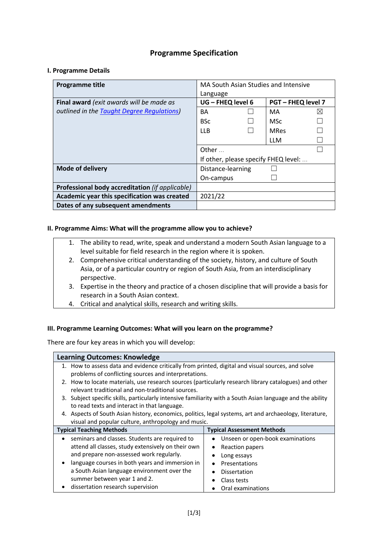# **Programme Specification**

# **I. Programme Details**

| Programme title                                 | MA South Asian Studies and Intensive<br>Language |  |             |              |
|-------------------------------------------------|--------------------------------------------------|--|-------------|--------------|
| Final award (exit awards will be made as        | UG - FHEQ level 6<br><b>PGT-FHEQ level 7</b>     |  |             |              |
| outlined in the Taught Degree Regulations)      | BA                                               |  | MA          | $\mathbb{X}$ |
|                                                 | <b>BSc</b>                                       |  | <b>MSc</b>  |              |
|                                                 | <b>LLB</b>                                       |  | <b>MRes</b> |              |
|                                                 |                                                  |  | <b>LLM</b>  |              |
|                                                 | Other                                            |  |             |              |
|                                                 | If other, please specify FHEQ level:             |  |             |              |
| <b>Mode of delivery</b>                         | Distance-learning                                |  |             |              |
|                                                 | On-campus                                        |  |             |              |
| Professional body accreditation (if applicable) |                                                  |  |             |              |
| Academic year this specification was created    | 2021/22                                          |  |             |              |
| Dates of any subsequent amendments              |                                                  |  |             |              |

# **II. Programme Aims: What will the programme allow you to achieve?**

- 1. The ability to read, write, speak and understand a modern South Asian language to a level suitable for field research in the region where it is spoken.
- 2. Comprehensive critical understanding of the society, history, and culture of South Asia, or of a particular country or region of South Asia, from an interdisciplinary perspective.
- 3. Expertise in the theory and practice of a chosen discipline that will provide a basis for research in a South Asian context.
- 4. Critical and analytical skills, research and writing skills.

### **III. Programme Learning Outcomes: What will you learn on the programme?**

There are four key areas in which you will develop:

| <b>Learning Outcomes: Knowledge</b>                                                                     |                                                                                                            |  |  |  |
|---------------------------------------------------------------------------------------------------------|------------------------------------------------------------------------------------------------------------|--|--|--|
|                                                                                                         | 1. How to assess data and evidence critically from printed, digital and visual sources, and solve          |  |  |  |
| problems of conflicting sources and interpretations.                                                    |                                                                                                            |  |  |  |
| 2. How to locate materials, use research sources (particularly research library catalogues) and other   |                                                                                                            |  |  |  |
| relevant traditional and non-traditional sources.                                                       |                                                                                                            |  |  |  |
|                                                                                                         | 3. Subject specific skills, particularly intensive familiarity with a South Asian language and the ability |  |  |  |
| to read texts and interact in that language.                                                            |                                                                                                            |  |  |  |
| 4. Aspects of South Asian history, economics, politics, legal systems, art and archaeology, literature, |                                                                                                            |  |  |  |
| visual and popular culture, anthropology and music.                                                     |                                                                                                            |  |  |  |
| <b>Typical Teaching Methods</b><br>Typical Assessment Methods                                           |                                                                                                            |  |  |  |
| seminars and classes. Students are required to<br>$\bullet$                                             | Unseen or open-book examinations                                                                           |  |  |  |
| attend all classes, study extensively on their own                                                      | Reaction papers                                                                                            |  |  |  |
| and prepare non-assessed work regularly.                                                                | Long essays                                                                                                |  |  |  |
| language courses in both years and immersion in<br>$\bullet$                                            | Presentations<br>$\bullet$                                                                                 |  |  |  |
| a South Asian language environment over the                                                             | <b>Dissertation</b><br>٠                                                                                   |  |  |  |
| summer between year 1 and 2.                                                                            | Class tests                                                                                                |  |  |  |
| dissertation research supervision<br>٠                                                                  | Oral examinations                                                                                          |  |  |  |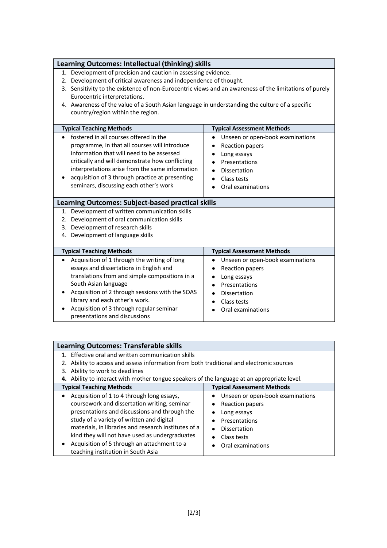| Learning Outcomes: Intellectual (thinking) skills                                                      |                                               |  |  |  |
|--------------------------------------------------------------------------------------------------------|-----------------------------------------------|--|--|--|
|                                                                                                        |                                               |  |  |  |
| 1. Development of precision and caution in assessing evidence.                                         |                                               |  |  |  |
| 2. Development of critical awareness and independence of thought.                                      |                                               |  |  |  |
| 3. Sensitivity to the existence of non-Eurocentric views and an awareness of the limitations of purely |                                               |  |  |  |
| Eurocentric interpretations.                                                                           |                                               |  |  |  |
| 4. Awareness of the value of a South Asian language in understanding the culture of a specific         |                                               |  |  |  |
| country/region within the region.                                                                      |                                               |  |  |  |
|                                                                                                        |                                               |  |  |  |
| <b>Typical Teaching Methods</b>                                                                        | <b>Typical Assessment Methods</b>             |  |  |  |
| fostered in all courses offered in the<br>$\bullet$                                                    | Unseen or open-book examinations<br>$\bullet$ |  |  |  |
| programme, in that all courses will introduce                                                          | Reaction papers                               |  |  |  |
| information that will need to be assessed                                                              | Long essays                                   |  |  |  |
| critically and will demonstrate how conflicting                                                        | Presentations                                 |  |  |  |
| interpretations arise from the same information                                                        | Dissertation                                  |  |  |  |
| acquisition of 3 through practice at presenting                                                        | Class tests                                   |  |  |  |
| seminars, discussing each other's work                                                                 | Oral examinations                             |  |  |  |
|                                                                                                        |                                               |  |  |  |
| <b>Learning Outcomes: Subject-based practical skills</b>                                               |                                               |  |  |  |
| 1. Development of written communication skills                                                         |                                               |  |  |  |
| 2. Development of oral communication skills                                                            |                                               |  |  |  |
| 3. Development of research skills                                                                      |                                               |  |  |  |
| 4. Development of language skills                                                                      |                                               |  |  |  |
|                                                                                                        |                                               |  |  |  |
| <b>Typical Teaching Methods</b>                                                                        | <b>Typical Assessment Methods</b>             |  |  |  |
| Acquisition of 1 through the writing of long<br>$\bullet$                                              | Unseen or open-book examinations<br>٠         |  |  |  |
| essays and dissertations in English and                                                                | <b>Reaction papers</b>                        |  |  |  |
| translations from and simple compositions in a                                                         | Long essays<br>٠                              |  |  |  |
| South Asian language                                                                                   | Presentations<br>$\bullet$                    |  |  |  |
| Acquisition of 2 through sessions with the SOAS                                                        | Dissertation                                  |  |  |  |
| library and each other's work.                                                                         | Class tests<br>٠                              |  |  |  |
| Acquisition of 3 through regular seminar<br>Oral examinations                                          |                                               |  |  |  |
| presentations and discussions                                                                          |                                               |  |  |  |

| <b>Learning Outcomes: Transferable skills</b>                                               |                                                                                          |  |  |  |
|---------------------------------------------------------------------------------------------|------------------------------------------------------------------------------------------|--|--|--|
| 1. Effective oral and written communication skills                                          |                                                                                          |  |  |  |
|                                                                                             | 2. Ability to access and assess information from both traditional and electronic sources |  |  |  |
| 3. Ability to work to deadlines                                                             |                                                                                          |  |  |  |
| 4. Ability to interact with mother tongue speakers of the language at an appropriate level. |                                                                                          |  |  |  |
| <b>Typical Assessment Methods</b><br><b>Typical Teaching Methods</b>                        |                                                                                          |  |  |  |
| Acquisition of 1 to 4 through long essays,                                                  | Unseen or open-book examinations                                                         |  |  |  |
| coursework and dissertation writing, seminar                                                | Reaction papers                                                                          |  |  |  |
| presentations and discussions and through the                                               | Long essays                                                                              |  |  |  |
| study of a variety of written and digital                                                   | Presentations                                                                            |  |  |  |
| materials, in libraries and research institutes of a                                        | <b>Dissertation</b>                                                                      |  |  |  |
| kind they will not have used as undergraduates                                              | Class tests                                                                              |  |  |  |
| Acquisition of 5 through an attachment to a                                                 | Oral examinations                                                                        |  |  |  |
| teaching institution in South Asia                                                          |                                                                                          |  |  |  |

 $\overline{\phantom{a}}$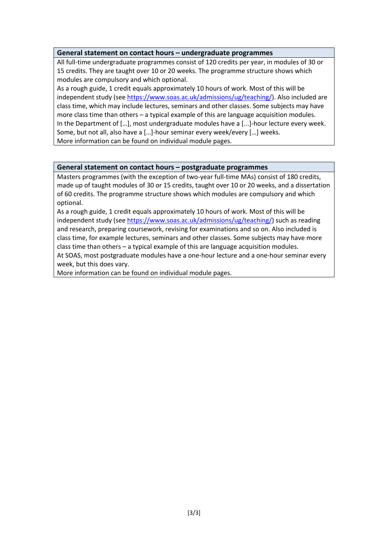# **General statement on contact hours – undergraduate programmes**

All full-time undergraduate programmes consist of 120 credits per year, in modules of 30 or 15 credits. They are taught over 10 or 20 weeks. The programme structure shows which modules are compulsory and which optional.

As a rough guide, 1 credit equals approximately 10 hours of work. Most of this will be independent study (see https://www.soas.ac.uk/admissions/ug/teaching/). Also included are class time, which may include lectures, seminars and other classes. Some subjects may have more class time than others – a typical example of this are language acquisition modules. In the Department of […], most undergraduate modules have a [...]-hour lecture every week. Some, but not all, also have a […]-hour seminar every week/every […] weeks. More information can be found on individual module pages.

# **General statement on contact hours – postgraduate programmes**

Masters programmes (with the exception of two-year full-time MAs) consist of 180 credits, made up of taught modules of 30 or 15 credits, taught over 10 or 20 weeks, and a dissertation of 60 credits. The programme structure shows which modules are compulsory and which optional.

As a rough guide, 1 credit equals approximately 10 hours of work. Most of this will be independent study (see https://www.soas.ac.uk/admissions/ug/teaching/) such as reading and research, preparing coursework, revising for examinations and so on. Also included is class time, for example lectures, seminars and other classes. Some subjects may have more class time than others – a typical example of this are language acquisition modules.

At SOAS, most postgraduate modules have a one-hour lecture and a one-hour seminar every week, but this does vary.

More information can be found on individual module pages.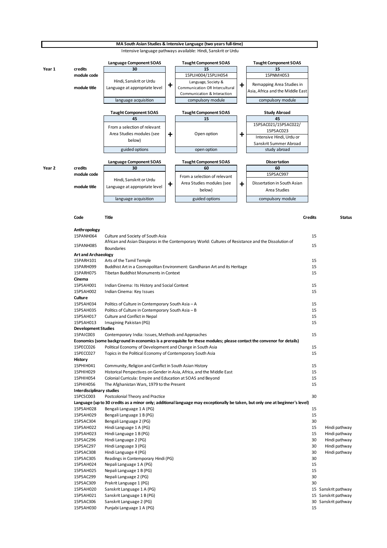

**MA South Asian Studies & Intensive Language (two years full-time)** 

15PSAH025 Nepali Language 1 B (PG) 15 15PSAC299 Nepali Language 2 (PG) 30 15PSAC309 Prakrit Language 1 (PG) 30

15PSAH030 Punjabi Language 1 A (PG) 15

15PSAH020 Sanskrit Language 1 A (PG) 15 Sanskrit pathway 15PSAH021 Sanskrit Language 1 B (PG) 15 Sanskrit pathway 15PSAC306 Sanskrit Language 2 (PG) 30 Sanskrit pathway

- 
- 
- 
- 
- 
- 
- 15PSAC305 Readings in Contemporary Hindi (PG) 30
- 15PSAH024 Nepali Language 1 A (PG) 15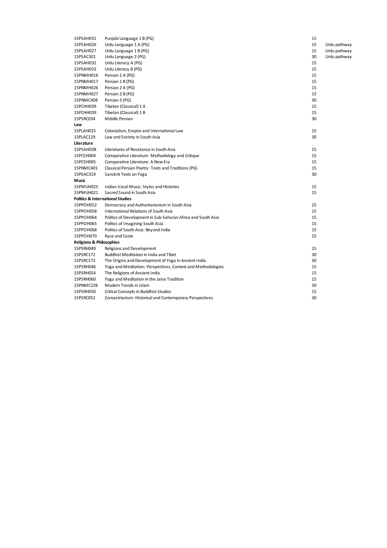| 15PSAH031                                   | Punjabi Language 1 B (PG)                                    | 15 |              |
|---------------------------------------------|--------------------------------------------------------------|----|--------------|
| 15PSAH026                                   | Urdu Language 1 A (PG)                                       | 15 | Urdu pathway |
| 15PSAH027                                   | Urdu Language 1 B (PG)                                       | 15 | Urdu pathway |
| 15PSAC301                                   | Urdu Language 2 (PG)                                         | 30 | Urdu pathway |
| 15PSAH032                                   | Urdu Literacy A (PG)                                         | 15 |              |
| 15PSAH033                                   | Urdu Literacy B (PG)                                         | 15 |              |
| 15PNMH016                                   | Persian 1 A (PG)                                             | 15 |              |
| 15PNMH017                                   | Persian 1 B (PG)                                             | 15 |              |
| 15PNMH026                                   | Persian 2 A (PG)                                             | 15 |              |
| 15PNMH027                                   | Persian 2 B (PG)                                             | 15 |              |
| 15PNMC408                                   | Persian 3 (PG)                                               | 30 |              |
| 15PCHH039                                   | Tibetan (Classical) 1 A                                      | 15 |              |
| 15PCHH039                                   | Tibetan (Classical) 1 B                                      | 15 |              |
| 15PSRC034                                   | Middle Persian                                               | 30 |              |
| Law                                         |                                                              |    |              |
| 15PLAH025                                   | Colonialism, Empire and International Law                    | 15 |              |
| 15PLAC129                                   | Law and Society in South Asia                                | 30 |              |
| Literature                                  |                                                              |    |              |
| 15PSAH038                                   | Literatures of Resistance in South Asia                      | 15 |              |
| 15PCSH004                                   | Comparative Literature: Methodology and Critique             | 15 |              |
| 15PCSH005                                   | Comparative Literature: A New Era                            | 15 |              |
| 15PNMC401                                   | Classical Persian Poetry: Texts and Traditions (PG)          | 15 |              |
| 15PSAC319                                   | Sanskrit Texts on Yoga                                       | 30 |              |
| Music                                       |                                                              |    |              |
| 15PMUH025                                   | Indian Vocal Music: Styles and Histories                     | 15 |              |
| 15PMUH021                                   | Sacred Sound in South Asia                                   | 15 |              |
| <b>Politics &amp; International Studies</b> |                                                              |    |              |
| 15PPOH052                                   | Democracy and Authoritarianism in South Asia                 | 15 |              |
| 15PPOH058                                   | <b>International Relations of South Asia</b>                 | 15 |              |
| 15PPOH064                                   | Politics of Development in Sub-Saharan Africa and South Asia | 15 |              |
| 15PPOH065                                   | Politics of Imagining South Asia                             | 15 |              |
| 15PPOH068                                   | Politics of South Asia: Beyond India                         | 15 |              |
| 15PPOH070                                   | Race and Caste                                               | 15 |              |
| <b>Religions &amp; Philosophies</b>         |                                                              |    |              |
| 15PSRH049                                   | Religions and Development                                    | 15 |              |
| 15PSRC172                                   | Buddhist Meditation in India and Tibet                       | 30 |              |
| 15PSRC173                                   | The Origins and Development of Yoga in Ancient India         | 30 |              |
| 15PSRH046                                   | Yoga and Meditation: Perspectives, Context and Methodologies | 15 |              |
| 15PSRH054                                   | The Religions of Ancient India                               | 15 |              |
| 15PSRH060                                   | Yoga and Meditation in the Jaina Tradition                   | 15 |              |
| 15PNMC228                                   | Modern Trends in Islam                                       | 30 |              |
| 15PSRH050                                   | Critical Concepts in Buddhist Studies                        | 15 |              |
| 15PSRC052                                   | Zoroastrianism: Historical and Contemporary Perspectives     | 30 |              |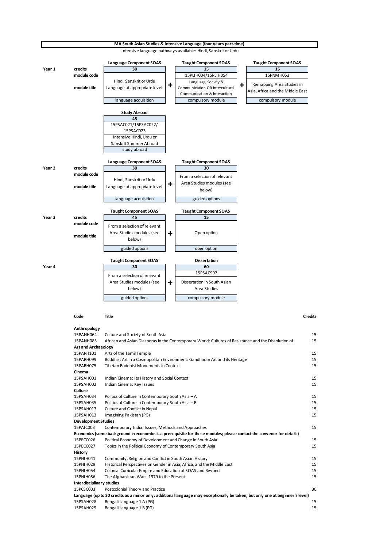

| Code | <b>Title</b><br>__ | <b>Credits</b><br>. |
|------|--------------------|---------------------|
|      |                    |                     |

| Anthropology                     |                                                                                                                               |    |
|----------------------------------|-------------------------------------------------------------------------------------------------------------------------------|----|
| 15PANH064                        | Culture and Society of South Asia                                                                                             | 15 |
| 15PANH085                        | African and Asian Diasporas in the Contemporary World: Cultures of Resistance and the Dissolution of                          | 15 |
| <b>Art and Archaeology</b>       |                                                                                                                               |    |
| 15PARH101                        | Arts of the Tamil Temple                                                                                                      | 15 |
| 15PARH099                        | Buddhist Art in a Cosmopolitan Environment: Gandharan Art and its Heritage                                                    | 15 |
| 15PARH075                        | Tibetan Buddhist Monuments in Context                                                                                         | 15 |
| Cinema                           |                                                                                                                               |    |
| 15PSAH001                        | Indian Cinema: Its History and Social Context                                                                                 | 15 |
| 15PSAH002                        | Indian Cinema: Key Issues                                                                                                     | 15 |
| Culture                          |                                                                                                                               |    |
| 15PSAH034                        | Politics of Culture in Contemporary South Asia - A                                                                            | 15 |
| 15PSAH035                        | Politics of Culture in Contemporary South Asia - B                                                                            | 15 |
| 15PSAH017                        | Culture and Conflict in Nepal                                                                                                 | 15 |
| 15PSAH013                        | Imagining Pakistan (PG)                                                                                                       | 15 |
| <b>Development Studies</b>       |                                                                                                                               |    |
| 15PAIC003                        | Contemporary India: Issues, Methods and Approaches                                                                            | 15 |
|                                  | Economics (some background in economics is a prerequisite for these modules; please contact the convenor for details)         |    |
| 15PECC026                        | Political Economy of Development and Change in South Asia                                                                     | 15 |
| 15PECC027                        | Topics in the Political Economy of Contemporary South Asia                                                                    | 15 |
| History                          |                                                                                                                               |    |
| 15PHIH041                        | Community, Religion and Conflict in South Asian History                                                                       | 15 |
| 15PHIH029                        | Historical Perspectives on Gender in Asia, Africa, and the Middle East                                                        | 15 |
| 15PHIH054                        | Colonial Curricula: Empire and Education at SOAS and Beyond                                                                   | 15 |
| 15PHIH056                        | The Afghanistan Wars, 1979 to the Present                                                                                     | 15 |
| <b>Interdisciplinary studies</b> |                                                                                                                               |    |
| 15PCSC003                        | Postcolonial Theory and Practice                                                                                              | 30 |
|                                  | Language (up to 30 credits as a minor only; additional language may exceptionally be taken, but only one at beginner's level) |    |
| 15PSAH028                        | Bengali Language 1 A (PG)                                                                                                     | 15 |
| 15PSAH029                        | Bengali Language 1 B (PG)                                                                                                     | 15 |